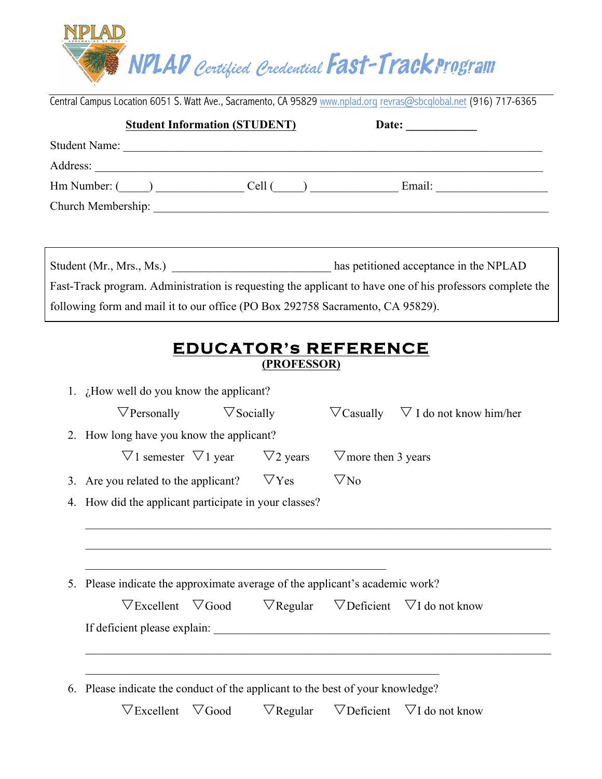

Central Campus Location 6051 S. Watt Ave., Sacramento, CA 95829 www.nplad.org revras@sbcglobal.net (916) 717-6365

|                      | <b>Student Information (STUDENT)</b> |                                                         | Date:  |  |
|----------------------|--------------------------------------|---------------------------------------------------------|--------|--|
| <b>Student Name:</b> |                                      | <u> 1989 - Johann Stein, fransk politiker (d. 1989)</u> |        |  |
| Address:             |                                      |                                                         |        |  |
|                      | $\text{Hm Number:}$ ( )              | Cell (                                                  | Email: |  |
| Church Membership:   |                                      |                                                         |        |  |
|                      |                                      |                                                         |        |  |

Student (Mr., Mrs., Ms.) has petitioned acceptance in the NPLAD Fast-Track program. Administration is requesting the applicant to have one of his professors complete the following form and mail it to our office (PO Box 292758 Sacramento, CA 95829).

## **EDUCATOR's REFERENCE (PROFESSOR)**

| 1. $\lambda$ How well do you know the applicant?                               |                   |  |                                                      |                                                                                             |  |  |  |
|--------------------------------------------------------------------------------|-------------------|--|------------------------------------------------------|---------------------------------------------------------------------------------------------|--|--|--|
| $\nabla$ Personally                                                            | $\nabla$ Socially |  |                                                      | $\nabla$ Casually $\nabla$ I do not know him/her                                            |  |  |  |
| 2. How long have you know the applicant?                                       |                   |  |                                                      |                                                                                             |  |  |  |
| $\nabla$ 1 semester $\nabla$ 1 year $\nabla$ 2 years                           |                   |  | $\triangledown$ more then 3 years                    |                                                                                             |  |  |  |
| 3. Are you related to the applicant? $\nabla$ Yes                              |                   |  | $\nabla$ No                                          |                                                                                             |  |  |  |
| 4. How did the applicant participate in your classes?                          |                   |  |                                                      |                                                                                             |  |  |  |
|                                                                                |                   |  |                                                      |                                                                                             |  |  |  |
|                                                                                |                   |  |                                                      |                                                                                             |  |  |  |
|                                                                                |                   |  |                                                      |                                                                                             |  |  |  |
|                                                                                |                   |  |                                                      |                                                                                             |  |  |  |
| 5. Please indicate the approximate average of the applicant's academic work?   |                   |  |                                                      |                                                                                             |  |  |  |
|                                                                                |                   |  |                                                      | $\nabla$ Excellent $\nabla$ Good $\nabla$ Regular $\nabla$ Deficient $\nabla$ I do not know |  |  |  |
| If deficient please explain:                                                   |                   |  | <u> 1980 - Johann Stein, Amerikaansk politiker (</u> |                                                                                             |  |  |  |
|                                                                                |                   |  |                                                      |                                                                                             |  |  |  |
|                                                                                |                   |  |                                                      |                                                                                             |  |  |  |
| 6. Please indicate the conduct of the applicant to the best of your knowledge? |                   |  |                                                      |                                                                                             |  |  |  |
| $\nabla$ Excellent $\nabla$ Good                                               |                   |  |                                                      | $\nabla$ Regular $\nabla$ Deficient $\nabla$ I do not know                                  |  |  |  |